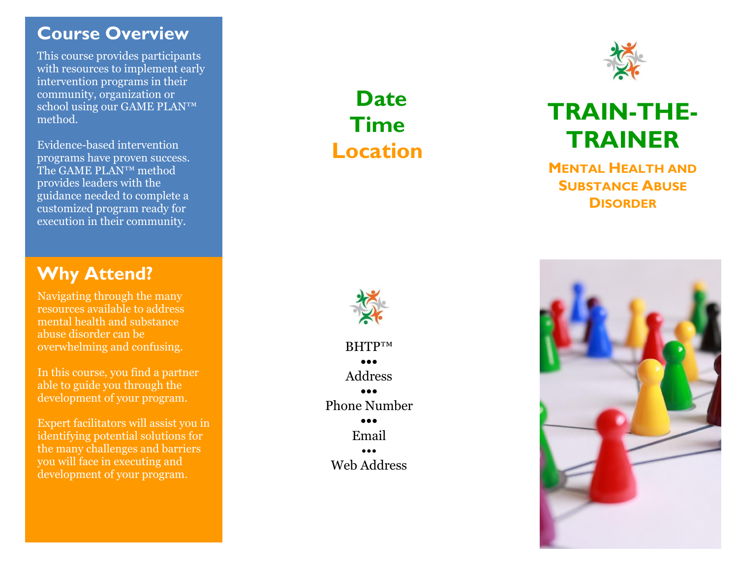# **Course Overview**

This course provides participants with resources to implement early intervention programs in their community, organization or school using our GAME PLAN™ method .

Evidence -based intervention programs have proven success. The GAME PLAN ™ method provides leaders with the guidance needed to complete a customized program ready for execution in their community.

# **Why Attend?**

Navigating through the many resources available to address mental health and substance abuse disorder can be overwhelming and confusing.

In this course, you find a partner able to guide you through the development of your program.

Expert facilitators will assist you in identifying potential solutions for the many challenges and barriers you will face in executing and development of your program.

# **Date Time Location**



# **TRAIN -THE - TRAINER**

**MENTAL HEALTH AND SUBSTANCE ABUSE DISORDER**



BHTP™ **•••** Address **•••** Phone Number **•••** Email ••• Web Address